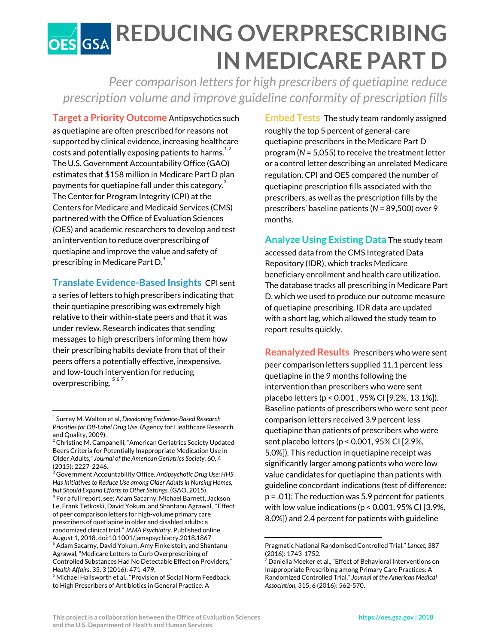## **REDUCING OVERPRESCRIBING IN MEDICARE PART D**

*Peer comparison lettersfor high prescribers of quetiapine reduce prescription volume and improve guideline conformity of prescription fills*

**Target a Priority Outcome** Antipsychotics such as quetiapine are often prescribed for reasons not supported by clinical evidence, increasing healthcare costs and potentially exposing patients to harms. $^{\rm 12}$ The U.S. Government Accountability Office (GAO) estimates that \$158 million in Medicare Part D plan payments for quetiapine fall under this category. $^{\rm 3}$ The Center for Program Integrity (CPI) at the Centers for Medicare and Medicaid Services (CMS) partnered with the Office of Evaluation Sciences (OES) and academic researchers to develop and test an intervention to reduce overprescribing of quetiapine and improve the value and safety of prescribing in Medicare Part D. $^{\rm 4}$ 

**Translate Evidence-Based Insights** CPI sent

a series of letters to high prescribers indicating that their quetiapine prescribing was extremely high relative to their within-state peers and that it was under review. Research indicates that sending messages to high prescribers informing them how their prescribing habits deviate from that of their peers offers a potentially effective, inexpensive, and low-touch intervention for reducing overprescribing.<sup>567</sup>

**Embed Tests** The study team randomly assigned roughly the top 5 percent of general-care quetiapine prescribers in the Medicare Part D program (*N* = 5,055) to receive the treatment letter or a control letter describing an unrelated Medicare regulation. CPI and OES compared the number of quetiapine prescription fills associated with the prescribers, as well as the prescription fills by the prescribers' baseline patients (*N* = 89,500) over 9 months.

**Analyze Using Existing Data** The study team accessed data from the CMS Integrated Data Repository (IDR), which tracks Medicare beneficiary enrollment and health care utilization. The database tracks all prescribing in Medicare Part D, which we used to produce our outcome measure of quetiapine prescribing. IDR data are updated with a short lag, which allowed the study team to report results quickly.

**Reanalyzed Results** Prescribers who were sent peer comparison letters supplied 11.1 percent less quetiapine in the 9 months following the intervention than prescribers who were sent placebo letters (p < 0.001 , 95% CI [9.2%, 13.1%]). Baseline patients of prescribers who were sent peer comparison letters received 3.9 percent less quetiapine than patients of prescribers who were sent placebo letters (p < 0.001, 95% CI [2.9%, 5.0%])*.* This reduction in quetiapine receipt was significantly larger among patients who were low value candidates for quetiapine than patients with guideline concordant indications (test of difference: p = .01): The reduction was 5.9 percent for patients with low value indications ( $p < 0.001$ , 95% CI [3.9%, 8.0%]) and 2.4 percent for patients with guideline

<sup>1</sup> Surrey M. Walton et al, *Developing Evidence-Based Research Prioritiesfor Off-Label Drug Use*. (Agency for Healthcare Research and Quality, 2009).

 $^2$  Christine M. Campanelli, "American Geriatrics Society Updated Beers Criteria for Potentially Inappropriate Medication Use in Older Adults," *Journal of the American Geriatrics Society,* 60, 4 (2015): 2227-2246.

<sup>3</sup> Government Accountability Office. *Antipsychotic Drug Use: HHS HasInitiativesto Reduce Use among Older Adultsin Nursing Homes, but* Should Expand Efforts to Other Settings. (GAO, 2015).

 $^4$  For a full report, see: Adam Sacarny, Michael Barnett, Jackson Le, Frank Tetkoski, David Yokum, and Shantanu Agrawal, "Effect of peer comparison letters for high-volume primary care prescribers of quetiapine in older and disabled adults: a randomized clinical trial." *JAMA Psychiatry.* Published online August 1, 2018. doi:10.1001/jamapsychiatry.2018.1867 <sup>5</sup> Adam Sacarny, David Yokum, Amy Finkelstein, and Shantanu Agrawal, "Medicare Letters to Curb Overprescribing of Controlled Substances Had No Detectable Effect on Providers," *Health Affairs*, 35, 3 (2016): 471-479.

<sup>&</sup>lt;sup>6</sup> Michael Hallsworth et al., "Provision of Social Norm Feedback to High Prescribers of Antibiotics in General Practice: A

Pragmatic National Randomised Controlled Trial," *Lancet,* 387 (2016): 1743-1752.

 $^7$  Daniella Meeker et al., "Effect of Behavioral Interventions on Inappropriate Prescribing among Primary Care Practices: A Randomized Controlled Trial," *Journal of the American Medical Association,* 315, 6 (2016): 562-570.